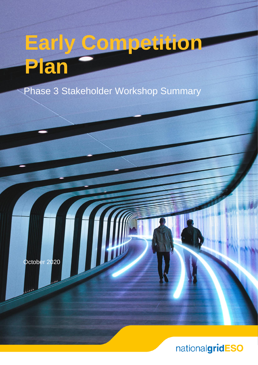# **Early Competition Plan**

Phase 3 Stakeholder Workshop Summary

October 2020

## nationalgridESO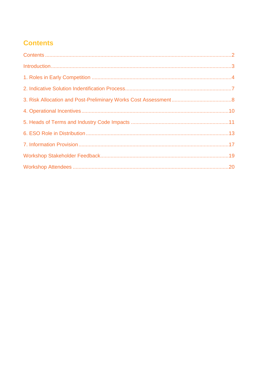## <span id="page-1-0"></span>**Contents**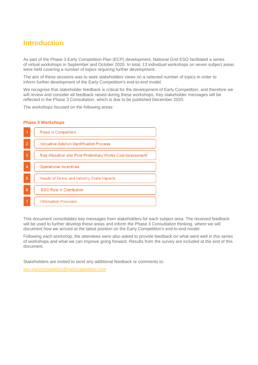### <span id="page-2-0"></span>**Introduction**

As part of the Phase 3 Early Competition Plan (ECP) development, National Grid ESO facilitated a series of virtual workshops in September and October 2020. In total, 13 individual workshops on seven subject areas were held covering a number of topics requiring further development.

The aim of these sessions was to seek stakeholders views on a selected number of topics in order to inform further development of the Early Competition's end-to-end model.

We recognise that stakeholder feedback is critical for the development of Early Competition, and therefore we will review and consider all feedback raised during these workshops. Key stakeholder messages will be reflected in the Phase 3 Consultation, which is due to be published December 2020.

The workshops focused on the following areas:

#### **Phase 3 Workshops**

| 1              | Roles in Competition                                              |  |
|----------------|-------------------------------------------------------------------|--|
| $\overline{2}$ | <b>Indicative Solution Identification Process</b>                 |  |
| 3              | <b>Risk Allocation and Post-Preliminary Works Cost Assessment</b> |  |
| $\overline{4}$ | <b>Operational Incentives</b>                                     |  |
| 5              | Heads of Terms and Industry Code Impacts                          |  |
| 6              | <b>ESO Role in Distribution</b>                                   |  |
| $\overline{7}$ | <b>Information Provision</b>                                      |  |

This document consolidates key messages from stakeholders for each subject area. The received feedback will be used to further develop these areas and inform the Phase 3 Consultation thinking, where we will document how we arrived at the latest position on the Early Competition's end-to-end model.

Following each workshop, the attendees were also asked to provide feedback on what went well in this series of workshops and what we can improve going forward. Results from the survey are included at the end of this document.

Stakeholders are invited to send any additional feedback or comments to:

[box.earlycompetition@nationalgrideso.com](mailto:box.earlycompetition@nationalgrideso.com)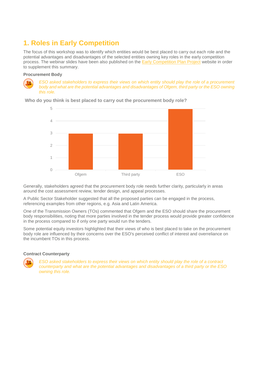## <span id="page-3-0"></span>**1. Roles in Early Competition**

The focus of this workshop was to identify which entities would be best placed to carry out each role and the potential advantages and disadvantages of the selected entities owning key roles in the early competition process. The webinar slides have been also published on the [Early Competition Plan Project](https://www.nationalgrideso.com/future-energy/projects/early-competition-plan) website in order to supplement this summary.

#### **Procurement Body**



*ESO asked stakeholders to express their views on which entity should play the role of a procurement body and what are the potential advantages and disadvantages of Ofgem, third party or the ESO owning this role.*



**Who do you think is best placed to carry out the procurement body role?**

Generally, stakeholders agreed that the procurement body role needs further clarity, particularly in areas around the cost assessment review, tender design, and appeal processes.

A Public Sector Stakeholder suggested that all the proposed parties can be engaged in the process, referencing examples from other regions, e.g. Asia and Latin America.

One of the Transmission Owners (TOs) commented that Ofgem and the ESO should share the procurement body responsibilities, noting that more parties involved in the tender process would provide greater confidence in the process compared to if only one party would run the tenders.

Some potential equity investors highlighted that their views of who is best placed to take on the procurement body role are influenced by their concerns over the ESO's perceived conflict of interest and overreliance on the incumbent TOs in this process.

#### **Contract Counterparty**



*ESO asked stakeholders to express their views on which entity should play the role of a contract counterparty and what are the potential advantages and disadvantages of a third party or the ESO owning this role.*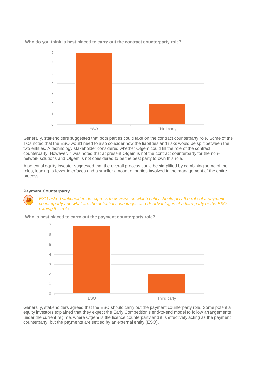

**Who do you think is best placed to carry out the contract counterparty role?**

Generally, stakeholders suggested that both parties could take on the contract counterparty role. Some of the TOs noted that the ESO would need to also consider how the liabilities and risks would be split between the two entities. A technology stakeholder considered whether Ofgem could fill the role of the contract counterparty. However, it was noted that at present Ofgem is not the contract counterparty for the nonnetwork solutions and Ofgem is not considered to be the best party to own this role.

A potential equity investor suggested that the overall process could be simplified by combining some of the roles, leading to fewer interfaces and a smaller amount of parties involved in the management of the entire process.

#### **Payment Counterparty**

*ESO asked stakeholders to express their views on which entity should play the role of a payment counterparty and what are the potential advantages and disadvantages of a third party or the ESO owning this role.* 



**Who is best placed to carry out the payment counterparty role?**

Generally, stakeholders agreed that the ESO should carry out the payment counterparty role. Some potential equity investors explained that they expect the Early Competition's end-to-end model to follow arrangements under the current regime, where Ofgem is the licence counterparty and it is effectively acting as the payment counterparty, but the payments are settled by an external entity (ESO).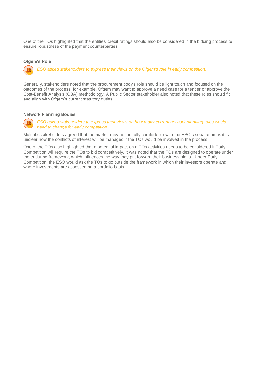One of the TOs highlighted that the entities' credit ratings should also be considered in the bidding process to ensure robustness of the payment counterparties.

#### **Ofgem's Role**

*ESO asked stakeholders to express their views on the Ofgem's role in early competition.*

Generally, stakeholders noted that the procurement body's role should be light touch and focused on the outcomes of the process, for example, Ofgem may want to approve a need case for a tender or approve the Cost-Benefit Analysis (CBA) methodology. A Public Sector stakeholder also noted that these roles should fit and align with Ofgem's current statutory duties.

#### **Network Planning Bodies**



*ESO asked stakeholders to express their views on how many current network planning roles would need to change for early competition.*

Multiple stakeholders agreed that the market may not be fully comfortable with the ESO's separation as it is unclear how the conflicts of interest will be managed if the TOs would be involved in the process.

One of the TOs also highlighted that a potential impact on a TOs activities needs to be considered if Early Competition will require the TOs to bid competitively. It was noted that the TOs are designed to operate under the enduring framework, which influences the way they put forward their business plans. Under Early Competition, the ESO would ask the TOs to go outside the framework in which their investors operate and where investments are assessed on a portfolio basis.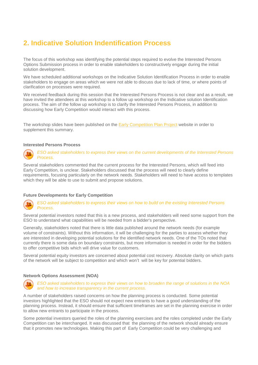## <span id="page-6-0"></span>**2. Indicative Solution Indentification Process**

The focus of this workshop was identifying the potential steps required to evolve the Interested Persons Options Submission process in order to enable stakeholders to constructively engage during the initial solution development.

We have scheduled additional workshops on the Indicative Solution Identification Process in order to enable stakeholders to engage on areas which we were not able to discuss due to lack of time, or where points of clarification on processes were required.

We received feedback during this session that the Interested Persons Process is not clear and as a result, we have invited the attendees at this workshop to a follow up workshop on the Indicative solution Identification process. The aim of the follow up workshop is to clarify the Interested Persons Process, in addition to discussing how Early Competition would interact with this process.

The workshop slides have been published on the **Early Competition Plan Project** website in order to supplement this summary.

#### **Interested Persons Process**



*ESO asked stakeholders to express their views on the current developments of the Interested Persons Process.*

Several stakeholders commented that the current process for the Interested Persons, which will feed into Early Competition, is unclear. Stakeholders discussed that the process will need to clearly define requirements, focusing particularly on the network needs. Stakeholders will need to have access to templates which they will be able to use to submit and propose solutions.

#### **Future Developments for Early Competition**

#### *ESO asked stakeholders to express their views on how to build on the existing Interested Persons Process.*

Several potential investors noted that this is a new process, and stakeholders will need some support from the ESO to understand what capabilities will be needed from a bidder's perspective.

Generally, stakeholders noted that there is little data published around the network needs (for example volume of constraints). Without this information, it will be challenging for the parties to assess whether they are interested in developing potential solutions for the identified network needs. One of the TOs noted that currently there is some data on boundary constraints, but more information is needed in order for the bidders to offer competitive bids which will drive value for customers.

Several potential equity investors are concerned about potential cost recovery. Absolute clarity on which parts of the network will be subject to competition and which won't will be key for potential bidders.

#### **Network Options Assessment (NOA)**



*ESO asked stakeholders to express their views on how to broaden the range of solutions in the NOA and how to increase transparency in the current process.* 

A number of stakeholders raised concerns on how the planning process is conducted. Some potential investors highlighted that the ESO should not expect new entrants to have a good understanding of the planning process. Instead, it should ensure that sufficient timeframes are set in the planning exercise in order to allow new entrants to participate in the process.

Some potential investors queried the roles of the planning exercises and the roles completed under the Early Competition can be interchanged. It was discussed that the planning of the network should already ensure that it promotes new technologies. Making this part of Early Competition could be very challenging and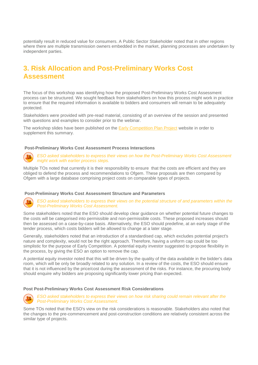potentially result in reduced value for consumers. A Public Sector Stakeholder noted that in other regions where there are multiple transmission owners embedded in the market, planning processes are undertaken by independent parties.

## <span id="page-7-0"></span>**3. Risk Allocation and Post-Preliminary Works Cost Assessment**

The focus of this workshop was identifying how the proposed Post-Preliminary Works Cost Assessment process can be structured. We sought feedback from stakeholders on how this process might work in practice to ensure that the required information is available to bidders and consumers will remain to be adequately protected.

Stakeholders were provided with pre-read material, consisting of an overview of the session and presented with questions and examples to consider prior to the webinar.

The workshop slides have been published on the [Early Competition Plan Project](https://www.nationalgrideso.com/future-energy/projects/early-competition-plan) website in order to supplement this summary.

#### **Post-Preliminary Works Cost Assessment Process Interactions**



*ESO asked stakeholders to express their views on how the Post-Preliminary Works Cost Assessment might work with earlier process steps.* 

Multiple TOs noted that currently it is their responsibility to ensure that the costs are efficient and they are obliged to defend the process and recommendations to Ofgem. These proposals are then compared by Ofgem with a large database comprising project costs on comparable types of projects.

#### **Post-Preliminary Works Cost Assessment Structure and Parameters**



*ESO asked stakeholders to express their views on the potential structure of and parameters within the Post-Preliminary Works Cost Assessment.* 

Some stakeholders noted that the ESO should develop clear guidance on whether potential future changes to the costs will be categorised into permissible and non-permissible costs. These proposed increases should then be assessed on a case-by-case basis. Alternatively, the ESO should predefine, at an early stage of the tender process, which costs bidders will be allowed to change at a later stage.

Generally, stakeholders noted that an introduction of a standardised cap, which excludes potential project's nature and complexity, would not be the right approach. Therefore, having a uniform cap could be too simplistic for the purpose of Early Competition. A potential equity investor suggested to propose flexibility in the process, by giving the ESO an option to remove the cap.

A potential equity investor noted that this will be driven by the quality of the data available in the bidder's data room, which will be only be broadly related to any solution. In a review of the costs, the ESO should ensure that it is not influenced by the price/cost during the assessment of the risks. For instance, the procuring body should enquire why bidders are proposing significantly lower pricing than expected.

#### **Post Post-Preliminary Works Cost Assessment Risk Considerations**



#### *ESO asked stakeholders to express their views on how risk sharing could remain relevant after the Post-Preliminary Works Cost Assessment.*

Some TOs noted that the ESO's view on the risk considerations is reasonable. Stakeholders also noted that the changes to the pre-commencement and post-construction conditions are relatively consistent across the similar type of projects.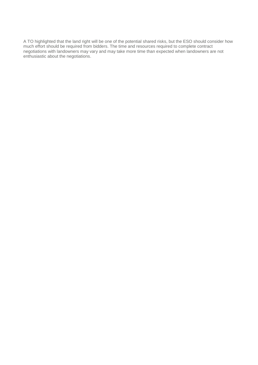A TO highlighted that the land right will be one of the potential shared risks, but the ESO should consider how much effort should be required from bidders. The time and resources required to complete contract negotiations with landowners may vary and may take more time than expected when landowners are not enthusiastic about the negotiations.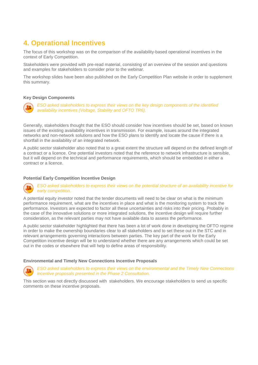## <span id="page-9-0"></span>**4. Operational Incentives**

The focus of this workshop was on the comparison of the availability-based operational incentives in the context of Early Competition.

Stakeholders were provided with pre-read material, consisting of an overview of the session and questions and examples for stakeholders to consider prior to the webinar.

The workshop slides have been also published on the Early Competition Plan website in order to supplement this summary.

#### **Key Design Components**



*ESO asked stakeholders to express their views on the key design components of the identified availability incentives (Voltage, Stability and OFTO TR6).*

Generally, stakeholders thought that the ESO should consider how incentives should be set, based on known issues of the existing availability incentives in transmission. For example, issues around the integrated networks and non-network solutions and how the ESO plans to identify and locate the cause if there is a shortfall in the availability of an integrated network.

A public sector stakeholder also noted that to a great extent the structure will depend on the defined length of a contract or a licence. One potential investors noted that the reference to network infrastructure is sensible, but it will depend on the technical and performance requirements, which should be embedded in either a contract or a licence.

#### **Potential Early Competition Incentive Design**

*ESO asked stakeholders to express their views on the potential structure of an availability incentive for early competition.*

A potential equity investor noted that the tender documents will need to be clear on what is the minimum performance requirement, what are the incentives in place and what is the monitoring system to track the performance. Investors are expected to factor all these uncertainties and risks into their pricing. Probably in the case of the innovative solutions or more integrated solutions, the incentive design will require further consideration, as the relevant parties may not have available data to assess the performance.

A public sector stakeholder highlighted that there has been a lot of work done in developing the OFTO regime in order to make the ownership boundaries clear to all stakeholders and to set these out in the STC and in relevant arrangements governing interactions between parties. The key part of the work for the Early Competition incentive design will be to understand whether there are any arrangements which could be set out in the codes or elsewhere that will help to define areas of responsibility.

#### **Environmental and Timely New Connections Incentive Proposals**



*ESO asked stakeholders to express their views on the environmental and the Timely New Connections incentive proposals presented in the Phase 2 Consultation.* 

This section was not directly discussed with stakeholders. We encourage stakeholders to send us specific comments on these incentive proposals.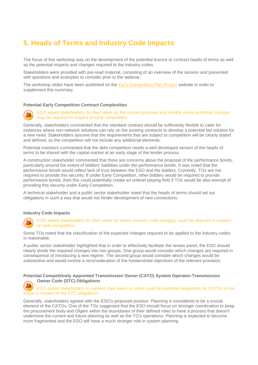## <span id="page-10-0"></span>**5. Heads of Terms and Industry Code Impacts**

The focus of this workshop was on the development of the potential licence or contract heads of terms as well as the potential impacts and changes required to the industry codes.

Stakeholders were provided with pre-read material, consisting of an overview of the session and presented with questions and examples to consider prior to the webinar.

The workshop slides have been published on the [Early Competition Plan Project](https://www.nationalgrideso.com/future-energy/projects/early-competition-plan) website in order to supplement this summary.

#### **Potential Early Competition Contract Complexities**



*ESO asked stakeholders for their views on the current proposal and identify where potential changes may be required in respect of early competition.* 

Generally, stakeholders commented that the standard contract should be sufficiently flexible to cater for instances where non-network solutions can rely on the existing contracts to develop a potential bid solution for a new need. Stakeholders assume that the requirements that are subject to competition will be clearly stated and defined, so the competition will not include any additional elements.

Potential investors commented that the debt competition needs a well-developed version of the heads of terms to be shared with the capital market at an early stage of the tender process.

A construction stakeholder commented that there are concerns about the proposal of the performance bonds, particularly around the extent of bidders' liabilities under the performance bonds. It was noted that the performance bonds would reflect lack of trust between the ESO and the bidders. Currently, TOs are not required to provide this security. If under Early Competition, other bidders would be required to provide performance bonds, then this could potentially create an unlevel playing field if TOs would be also exempt of providing this security under Early Competition.

A technical stakeholder and a public sector stakeholder noted that the heads of terms should set out obligations in such a way that would not hinder development of new connections.

#### **Industry Code Impacts**



*ESO asked stakeholders for their views on where industry code changes could be required in respect of early competition*.

Some TOs noted that the classification of the expected changes required to be applied to the industry codes is reasonable.

A public sector stakeholder highlighted that in order to effectively facilitate the review panel, the ESO should clearly divide the required changes into two groups. One group would consider which changes are required in consequence of introducing a new regime. The second group would consider which changes would be substantive and would involve a reconsideration of the fundamental objectives of the relevant provision.

**Potential Competitively Appointed Transmission Owner (CATO) System Operator-Transmission Owner Code (STC) Obligations**

*ESO asked stakeholders to express their views on what could be potential obligations for CATOs in the future in respect of the STC obligations.*

Generally, stakeholders agreed with the ESO's proposed position. Planning is considered to be a crucial element of the CATOs. One of the TOs suggested that the ESO should focus on stronger coordination to keep the procurement body and Ofgem within the boundaries of their defined roles to have a process that doesn't undermine the current and future planning as well as the TO's operations. Planning is expected to become more fragmented and the ESO will have a much stronger role in system planning.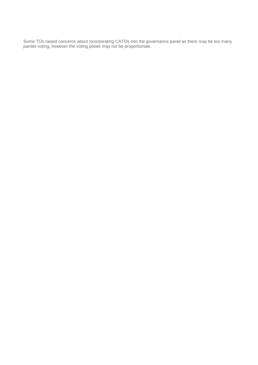Some TOs raised concerns about incorporating CATOs into the governance panel as there may be too many parties voting, however the voting power may not be proportionate.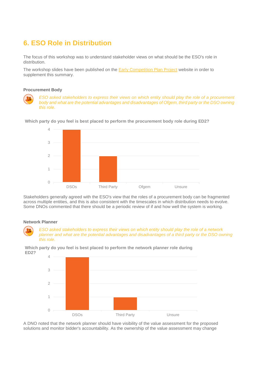## <span id="page-12-0"></span>**6. ESO Role in Distribution**

The focus of this workshop was to understand stakeholder views on what should be the ESO's role in distribution.

The workshop slides have been published on the [Early Competition Plan Project](https://www.nationalgrideso.com/future-energy/projects/early-competition-plan) website in order to supplement this summary.

#### **Procurement Body**

*ESO asked stakeholders to express their views on which entity should play the role of a procurement body and what are the potential advantages and disadvantages of Ofgem, third party or the DSO owning this role.* 





Stakeholders generally agreed with the ESO's view that the roles of a procurement body can be fragmented across multiple entities, and this is also consistent with the timescales in which distribution needs to evolve. Some DNOs commented that there should be a periodic review of if and how well the system is working.

#### **Network Planner**

*ESO asked stakeholders to express their views on which entity should play the role of a network planner and what are the potential advantages and disadvantages of a third party or the DSO owning this role.* 

**Which party do you feel is best placed to perform the network planner role during ED2?**



A DNO noted that the network planner should have visibility of the value assessment for the proposed solutions and monitor bidder's accountability. As the ownership of the value assessment may change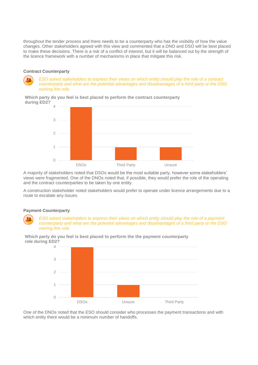throughout the tender process and there needs to be a counterparty who has the visibility of how the value changes. Other stakeholders agreed with this view and commented that a DNO and DSO will be best placed to make these decisions. There is a risk of a conflict of interest, but it will be balanced out by the strength of the licence framework with a number of mechanisms in place that mitigate this risk.

#### **Contract Counterparty**

*ESO asked stakeholders to express their views on which entity should play the role of a contract counterparty and what are the potential advantages and disadvantages of a third party or the DSO owning this role.* 

**Which party do you feel is best placed to perform the contract counterparty during ED2?**



A majority of stakeholders noted that DSOs would be the most suitable party, however some stakeholders' views were fragmented. One of the DNOs noted that, if possible, they would prefer the role of the operating and the contract counterparties to be taken by one entity.

A construction stakeholder noted stakeholders would prefer to operate under licence arrangements due to a route to escalate any issues.

#### **Payment Counterparty**

*ESO asked stakeholders to express their views on which entity should play the role of a payment counterparty and what are the potential advantages and disadvantages of a third party or the DSO owning this role.* 



**Which party do you feel is best placed to perform the the payment counterparty role during ED2?**

One of the DNOs noted that the ESO should consider who processes the payment transactions and with which entity there would be a minimum number of handoffs.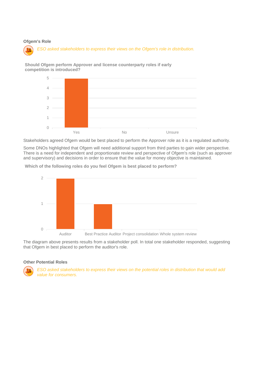#### **Ofgem's Role**



**Should Ofgem perform Approver and license counterparty roles if early competition is introduced?**



Stakeholders agreed Ofgem would be best placed to perform the Approver role as it is a regulated authority.

Some DNOs highlighted that Ofgem will need additional support from third parties to gain wider perspective. There is a need for independent and proportionate review and perspective of Ofgem's role (such as approver and supervisory) and decisions in order to ensure that the value for money objective is maintained.

**Which of the following roles do you feel Ofgem is best placed to perform?**



The diagram above presents results from a stakeholder poll. In total one stakeholder responded, suggesting that Ofgem in best placed to perform the auditor's role.

#### **Other Potential Roles**

*ESO asked stakeholders to express their views on the potential roles in distribution that would add value for consumers.*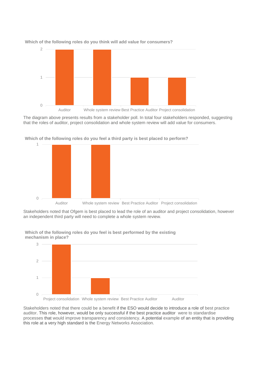

2 2 **Which of the following roles do you think will add value for consumers?**

The diagram above presents results from a stakeholder poll. In total four stakeholders responded, suggesting that the roles of auditor, project consolidation and whole system review will add value for consumers.



1 1 **Which of the following roles do you feel a third party is best placed to perform?**

Stakeholders noted that Ofgem is best placed to lead the role of an auditor and project consolidation, however an independent third party will need to complete a whole system review.



3 **mechanism in place?Which of the following roles do you feel is best performed by the existing** 

Stakeholders noted that there could be a benefit if the ESO would decide to introduce a role of best practice auditor. This role, however, would be only successful if the best practice auditor were to standardise processes that would improve transparency and consistency. A potential example of an entity that is providing this role at a very high standard is the Energy Networks Association.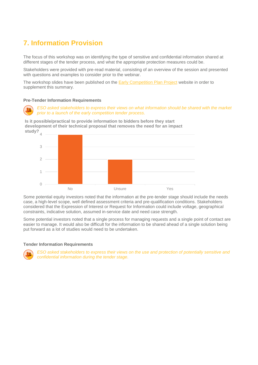## <span id="page-16-0"></span>**7. Information Provision**

The focus of this workshop was on identifying the type of sensitive and confidential information shared at different stages of the tender process, and what the appropriate protection measures could be.

Stakeholders were provided with pre-read material, consisting of an overview of the session and presented with questions and examples to consider prior to the webinar.

The workshop slides have been published on the **Early Competition Plan Project** website in order to supplement this summary.

#### **Pre-Tender Information Requirements**

*ESO asked stakeholders to express their views on what information should be shared with the market prior to a launch of the early competition tender process.*

4 **study?Is it possible/practical to provide information to bidders before they start development of their technical proposal that removes the need for an impact** 



Some potential equity investors noted that the information at the pre-tender stage should include the needs case, a high-level scope, well defined assessment criteria and pre-qualification conditions. Stakeholders considered that the Expression of Interest or Request for Information could include voltage, geographical constraints, indicative solution, assumed in-service date and need case strength.

Some potential investors noted that a single process for managing requests and a single point of contact are easier to manage. It would also be difficult for the information to be shared ahead of a single solution being put forward as a lot of studies would need to be undertaken.

#### **Tender Information Requirements**



*ESO asked stakeholders to express their views on the use and protection of potentially sensitive and confidential information during the tender stage.*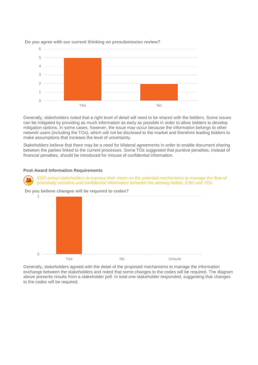

**Do you agree with our current thinking on presubmission review?**

Generally, stakeholders noted that a right level of detail will need to be shared with the bidders. Some issues can be mitigated by providing as much information as early as possible in order to allow bidders to develop mitigation options. In some cases, however, the issue may occur because the information belongs to other network users (including the TOs), which will not be disclosed to the market and therefore leading bidders to make assumptions that increase the level of uncertainty.

Stakeholders believe that there may be a need for bilateral agreements in order to enable document sharing between the parties linked to the current processes. Some TOs suggested that punitive penalties, instead of financial penalties, should be introduced for misuse of confidential information.

#### **Post-Award Information Requirements**

*ESO asked stakeholders to express their views on the potential mechanisms to manage the flow of potentially sensitive and confidential information between the winning bidder, ESO and TOs.*

1 **Do you believe changes will be required to codes?**



Generally, stakeholders agreed with the detail of the proposed mechanisms to manage the information exchange between the stakeholders and noted that some changes to the codes will be required. The diagram above presents results from a stakeholder poll. In total one stakeholder responded, suggesting that changes to the codes will be required.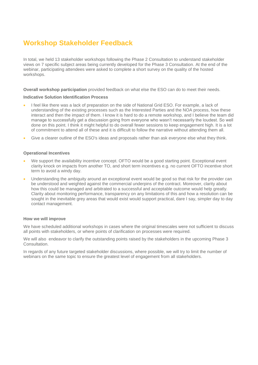## <span id="page-18-0"></span>**Workshop Stakeholder Feedback**

In total, we held 13 stakeholder workshops following the Phase 2 Consultation to understand stakeholder views on 7 specific subject areas being currently developed for the Phase 3 Consultation. At the end of the webinar, participating attendees were asked to complete a short survey on the quality of the hosted workshops.

**Overall workshop participation** provided feedback on what else the ESO can do to meet their needs.

#### **Indicative Solution Identification Process**

- I feel like there was a lack of preparation on the side of National Grid ESO. For example, a lack of understanding of the existing processes such as the Interested Parties and the NOA process, how these interact and then the impact of them. I know it is hard to do a remote workshop, and I believe the team did manage to successfully get a discussion going from everyone who wasn't necessarily the loudest. So well done on this point. I think it might helpful to do overall fewer sessions to keep engagement high. It is a lot of commitment to attend all of these and it is difficult to follow the narrative without attending them all.
- Give a clearer outline of the ESO's ideas and proposals rather than ask everyone else what they think.

#### **Operational Incentives**

- We support the availability incentive concept. OFTO would be a good starting point. Exceptional event clarity knock on impacts from another TO, and short term incentives e.g. no current OFTO incentive short term to avoid a windy day.
- Understanding the ambiguity around an exceptional event would be good so that risk for the provider can be understood and weighted against the commercial underpins of the contract. Moreover, clarity about how this could be managed and arbitrated to a successful and acceptable outcome would help greatly. Clarity about monitoring performance, transparency on any limitations of this and how a resolution can be sought in the inevitable grey areas that would exist would support practical, dare I say, simpler day to day contact management.

#### **How we will improve**

We have scheduled additional workshops in cases where the original timescales were not sufficient to discuss all points with stakeholders, or where points of clarification on processes were required.

We will also endeavor to clarify the outstanding points raised by the stakeholders in the upcoming Phase 3 Consultation.

In regards of any future targeted stakeholder discussions, where possible, we will try to limit the number of webinars on the same topic to ensure the greatest level of engagement from all stakeholders.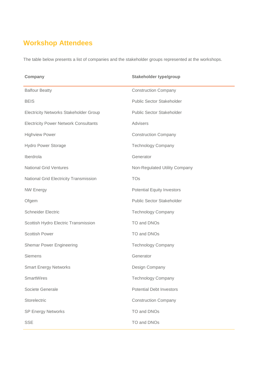## <span id="page-19-0"></span>**Workshop Attendees**

The table below presents a list of companies and the stakeholder groups represented at the workshops.

| Company                                       | Stakeholder type/group            |
|-----------------------------------------------|-----------------------------------|
|                                               |                                   |
| <b>Balfour Beatty</b>                         | <b>Construction Company</b>       |
| <b>BEIS</b>                                   | <b>Public Sector Stakeholder</b>  |
| <b>Electricity Networks Stakeholder Group</b> | <b>Public Sector Stakeholder</b>  |
| <b>Electricity Power Network Consultants</b>  | Advisers                          |
| <b>Highview Power</b>                         | <b>Construction Company</b>       |
| <b>Hydro Power Storage</b>                    | <b>Technology Company</b>         |
| Iberdrola                                     | Generator                         |
| <b>National Grid Ventures</b>                 | Non-Regulated Utility Company     |
| National Grid Electricity Transmission        | <b>TOs</b>                        |
| <b>NW Energy</b>                              | <b>Potential Equity Investors</b> |
| Ofgem                                         | <b>Public Sector Stakeholder</b>  |
| <b>Schneider Electric</b>                     | <b>Technology Company</b>         |
| Scottish Hydro Electric Transmission          | TO and DNOs                       |
| <b>Scottish Power</b>                         | TO and DNOs                       |
| <b>Shemar Power Engineering</b>               | <b>Technology Company</b>         |
| Siemens                                       | Generator                         |
| <b>Smart Energy Networks</b>                  | Design Company                    |
| <b>SmartWires</b>                             | <b>Technology Company</b>         |
| Societe Generale                              | <b>Potential Debt Investors</b>   |
| Storelectric                                  | <b>Construction Company</b>       |
| <b>SP Energy Networks</b>                     | TO and DNOs                       |
| <b>SSE</b>                                    | TO and DNOs                       |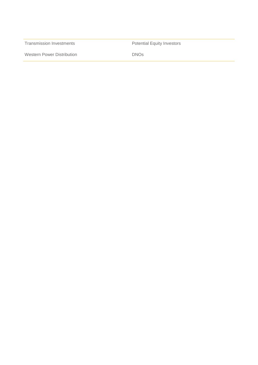Transmission Investments **Potential Equity Investors** 

Western Power Distribution **DISTER CONTACT CONCIDENT** DNOs